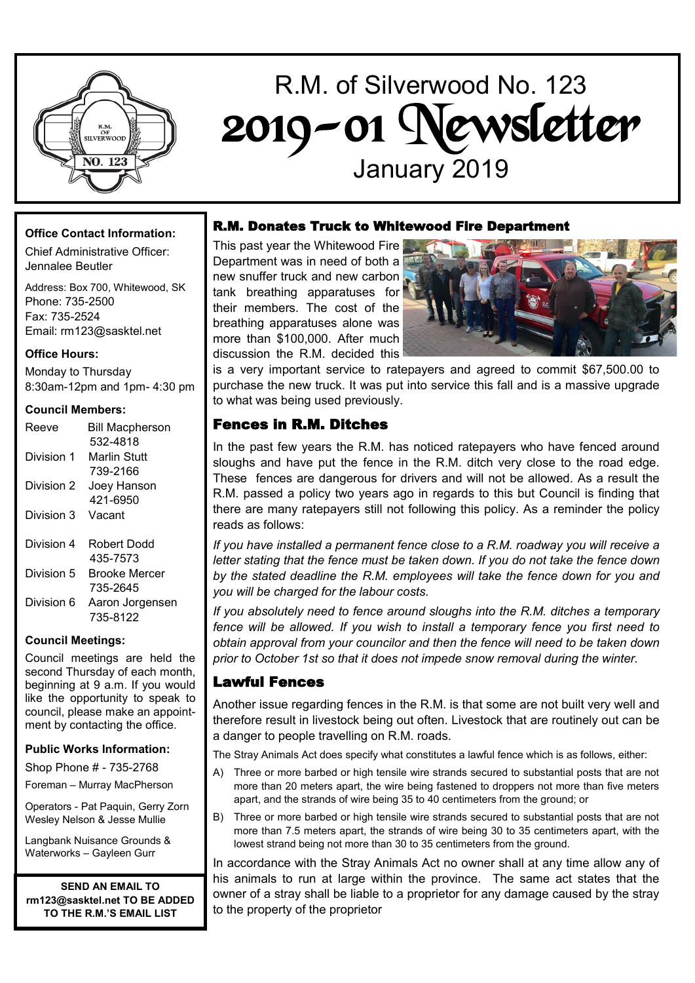

# R.M. of Silverwood No. 123 2019-01 Newsletter January 2019

## **Office Contact Information:**

Chief Administrative Officer: Jennalee Beutler

Address: Box 700, Whitewood, SK Phone: 735-2500 Fax: 735-2524 Email: rm123@sasktel.net

### **Office Hours:**

Monday to Thursday 8:30am-12pm and 1pm- 4:30 pm

#### **Council Members:**

| Reeve      | <b>Bill Macpherson</b><br>532-4818 |
|------------|------------------------------------|
| Division 1 | Marlin Stutt                       |
|            | 739-2166                           |
| Division 2 | Joey Hanson                        |
|            | 421-6950                           |
| Division 3 | Vacant                             |
| Division 4 | Robert Dodd                        |
|            | 435-7573                           |
| Division 5 | Brooke Mercer                      |
|            | 735-2645                           |
| Division 6 | Aaron Jorgensen                    |
|            | 735-8122                           |

### **Council Meetings:**

Council meetings are held the second Thursday of each month, beginning at 9 a.m. If you would like the opportunity to speak to council, please make an appointment by contacting the office.

### **Public Works Information:**

Shop Phone # - 735-2768

Foreman – Murray MacPherson

Operators - Pat Paquin, Gerry Zorn Wesley Nelson & Jesse Mullie

Langbank Nuisance Grounds & Waterworks – Gayleen Gurr

**SEND AN EMAIL TO rm123@sasktel.net TO BE ADDED TO THE R.M.'S EMAIL LIST**

## R.M. Donates Truck to Whitewood Fire Department

This past year the Whitewood Fire Department was in need of both a new snuffer truck and new carbon tank breathing apparatuses for their members. The cost of the breathing apparatuses alone was more than \$100,000. After much discussion the R.M. decided this



is a very important service to ratepayers and agreed to commit \$67,500.00 to purchase the new truck. It was put into service this fall and is a massive upgrade to what was being used previously.

# Fences in R.M. Ditches

In the past few years the R.M. has noticed ratepayers who have fenced around sloughs and have put the fence in the R.M. ditch very close to the road edge. These fences are dangerous for drivers and will not be allowed. As a result the R.M. passed a policy two years ago in regards to this but Council is finding that there are many ratepayers still not following this policy. As a reminder the policy reads as follows:

*If you have installed a permanent fence close to a R.M. roadway you will receive a letter stating that the fence must be taken down. If you do not take the fence down by the stated deadline the R.M. employees will take the fence down for you and you will be charged for the labour costs.* 

*If you absolutely need to fence around sloughs into the R.M. ditches a temporary fence will be allowed. If you wish to install a temporary fence you first need to obtain approval from your councilor and then the fence will need to be taken down prior to October 1st so that it does not impede snow removal during the winter.* 

# Lawful Fences

Another issue regarding fences in the R.M. is that some are not built very well and therefore result in livestock being out often. Livestock that are routinely out can be a danger to people travelling on R.M. roads.

The Stray Animals Act does specify what constitutes a lawful fence which is as follows, either:

- A) Three or more barbed or high tensile wire strands secured to substantial posts that are not more than 20 meters apart, the wire being fastened to droppers not more than five meters apart, and the strands of wire being 35 to 40 centimeters from the ground; or
- B) Three or more barbed or high tensile wire strands secured to substantial posts that are not more than 7.5 meters apart, the strands of wire being 30 to 35 centimeters apart, with the lowest strand being not more than 30 to 35 centimeters from the ground.

In accordance with the Stray Animals Act no owner shall at any time allow any of his animals to run at large within the province. The same act states that the owner of a stray shall be liable to a proprietor for any damage caused by the stray to the property of the proprietor